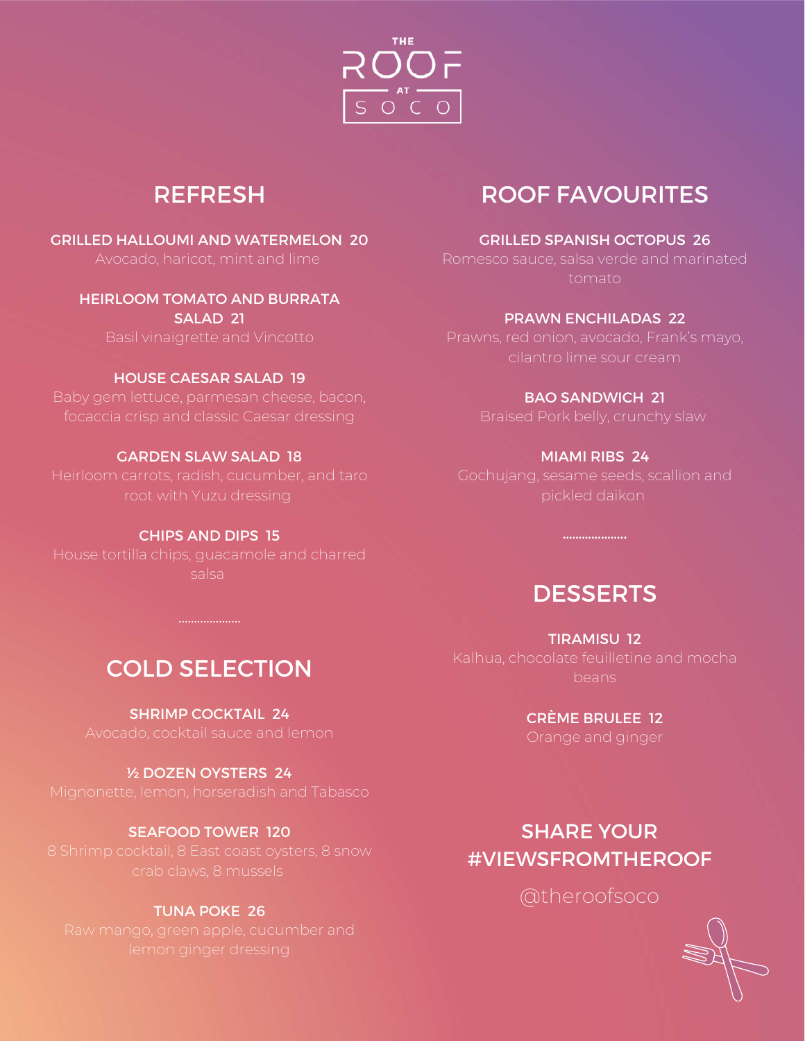

# REFRESH

GRILLED HALLOUMI AND WATERMELON 20 Avocado, haricot, mint and lime

HEIRLOOM TOMATO AND BURRATA SALAD 21 Basil vinaigrette and Vincotto

## HOUSE CAESAR SALAD 19

## GARDEN SLAW SALAD 18

Heirloom carrots, radish, cucumber, and taro

#### CHIPS AND DIPS 15

salsa

# ROOF FAVOURITES

GRILLED SPANISH OCTOPUS 26

Romesco sauce, salsa verde and marinated tomato

## PRAWN ENCHILADAS 22

cilantro lime sour cream

## BAO SANDWICH 21

## MIAMI RIBS 24

Gochujang, sesame seeds, scallion and pickled daikon

# **DESSERTS**

TIRAMISU 12 beans

## CRÈME BRULEE 12

# [SHARE](https://www.instagram.com/theroofsoco/) YOUR [#VIEWSFROMTHEROOF](https://www.instagram.com/theroofsoco/)

[@theroofsoco](https://www.instagram.com/theroofsoco/)



# COLD SELECTION

SHRIMP COCKTAIL 24

Avocado, cocktail sauce and lemon

## ½ DOZEN OYSTERS 24

## SEAFOOD TOWER 120

## TUNA POKE 26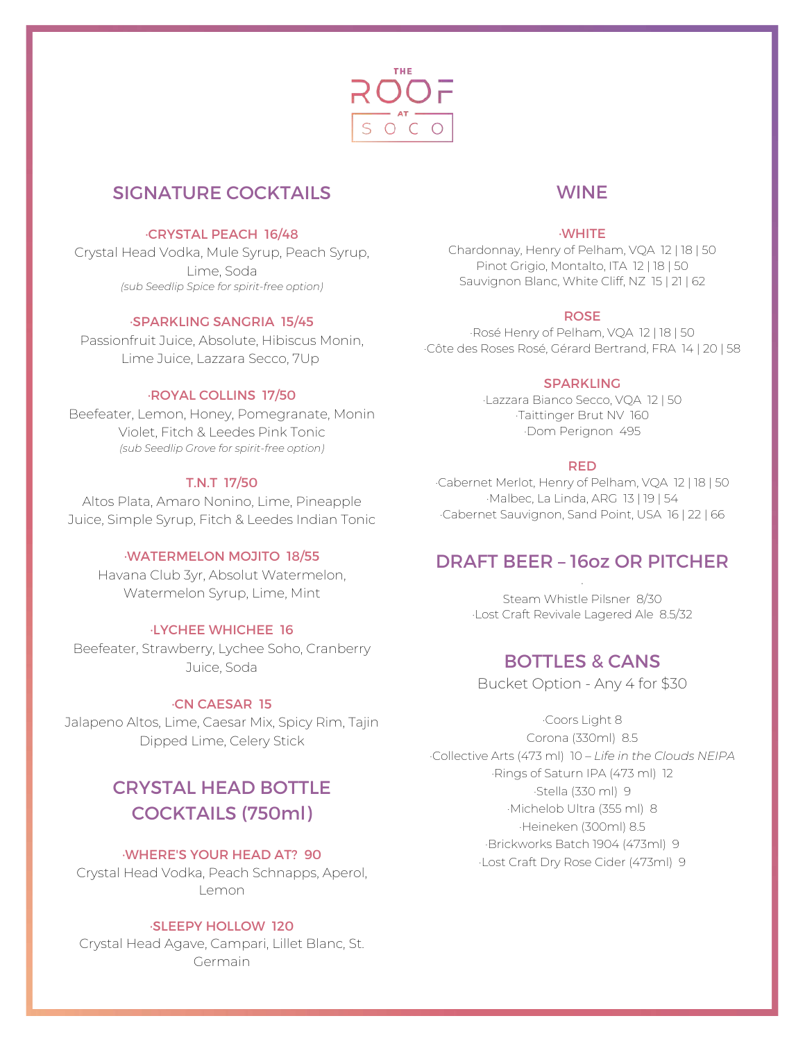

## SIGNATURE COCKTAILS

## ·CRYSTAL PEACH 16/48

Crystal Head Vodka, Mule Syrup, Peach Syrup, Lime, Soda *(sub Seedlip Spice for spirit-free option)*

## ·SPARKLING SANGRIA 15/45

Passionfruit Juice, Absolute, Hibiscus Monin, Lime Juice, Lazzara Secco, 7Up

## ·ROYAL COLLINS 17/50

Beefeater, Lemon, Honey, Pomegranate, Monin Violet, Fitch & Leedes Pink Tonic *(sub Seedlip Grove for spirit-free option)*

## T.N.T 17/50

Altos Plata, Amaro Nonino, Lime, Pineapple Juice, Simple Syrup, Fitch & Leedes Indian Tonic

## ·WATERMELON MOJITO 18/55

Havana Club 3yr, Absolut Watermelon, Watermelon Syrup, Lime, Mint

## ·LYCHEE WHICHEE 16

Beefeater, Strawberry, Lychee Soho, Cranberry Juice, Soda

## ·CN CAESAR 15

Jalapeno Altos, Lime, Caesar Mix, Spicy Rim, Tajin Dipped Lime, Celery Stick

# CRYSTAL HEAD BOTTLE COCKTAILS (750ml)

## ·WHERE'S YOUR HEAD AT? 90

Crystal Head Vodka, Peach Schnapps, Aperol, Lemon

## ·SLEEPY HOLLOW 120

Crystal Head Agave, Campari, Lillet Blanc, St. Germain

## **WINE**

## ·WHITE

Chardonnay, Henry of Pelham, VQA 12 | 18 | 50 Pinot Grigio, Montalto, ITA 12 | 18 | 50 Sauvignon Blanc, White Cliff, NZ 15 | 21 | 62

## ROSE

·Rosé Henry of Pelham, VQA 12 | 18 | 50 ·Côte des Roses Rosé, Gérard Bertrand, FRA 14 | 20 | 58

#### SPARKLING

·Lazzara Bianco Secco, VQA 12 | 50 ·Taittinger Brut NV 160 ·Dom Perignon 495

#### RED

·Cabernet Merlot, Henry of Pelham, VQA 12 | 18 | 50 ·Malbec, La Linda, ARG 13 | 19 | 54 ·Cabernet Sauvignon, Sand Point, USA 16 | 22 | 66

## DRAFT BEER – 16oz OR PITCHER

· Steam Whistle Pilsner 8/30 ·Lost Craft Revivale Lagered Ale 8.5/32

## BOTTLES & CANS

Bucket Option - Any 4 for \$30

·Coors Light 8 Corona (330ml) 8.5 ·Collective Arts (473 ml) 10 – *Life in the Clouds NEIPA* ·Rings of Saturn IPA (473 ml) 12 ·Stella (330 ml) 9 ·Michelob Ultra (355 ml) 8 ·Heineken (300ml) 8.5 ·Brickworks Batch 1904 (473ml) 9 ·Lost Craft Dry Rose Cider (473ml) 9